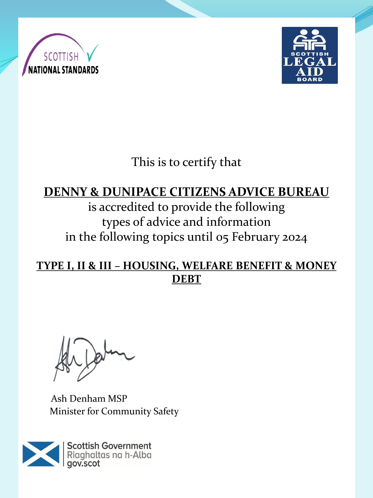



This is to certify that

## **DENNY & DUNIPACE CITIZENS ADVICE BUREAU**

is accredited to provide the following types of advice and information in the following topics until 05 February 2024

**TYPE I, II & III – HOUSING, WELFARE BENEFIT & MONEY DEBT**

Ash Denham MSP Minister for Community Safety

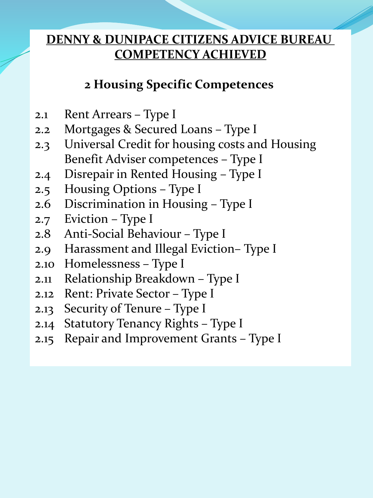## **2 Housing Specific Competences**

- 2.1 Rent Arrears Type I
- 2.2 Mortgages & Secured Loans Type I
- 2.3 Universal Credit for housing costs and Housing Benefit Adviser competences – Type I
- 2.4 Disrepair in Rented Housing Type I
- 2.5 Housing Options Type I
- 2.6 Discrimination in Housing Type I
- 2.7 Eviction Type I
- 2.8 Anti-Social Behaviour Type I
- 2.9 Harassment and Illegal Eviction– Type I
- 2.10 Homelessness Type I
- 2.11 Relationship Breakdown Type I
- 2.12 Rent: Private Sector Type I
- 2.13 Security of Tenure Type I
- 2.14 Statutory Tenancy Rights Type I
- 2.15 Repair and Improvement Grants Type I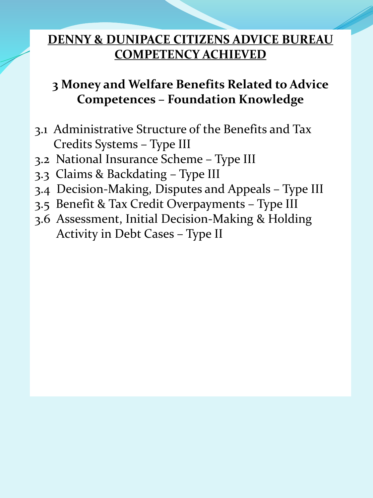# **3 Money and Welfare Benefits Related to Advice Competences – Foundation Knowledge**

- 3.1 Administrative Structure of the Benefits and Tax Credits Systems – Type III
- 3.2 National Insurance Scheme Type III
- 3.3 Claims & Backdating Type III
- 3.4 Decision-Making, Disputes and Appeals Type III
- 3.5 Benefit & Tax Credit Overpayments Type III
- 3.6 Assessment, Initial Decision-Making & Holding Activity in Debt Cases – Type II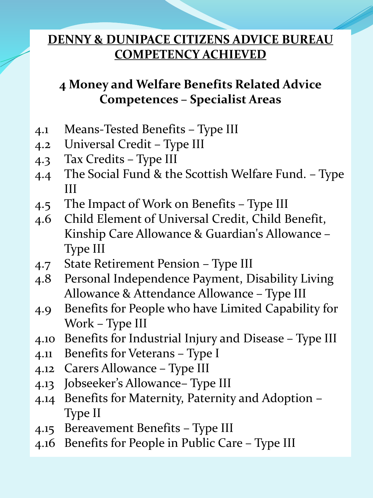# **4 Money and Welfare Benefits Related Advice Competences – Specialist Areas**

- 4.1 Means-Tested Benefits Type III
- 4.2 Universal Credit Type III
- 4.3 Tax Credits Type III
- 4.4 The Social Fund & the Scottish Welfare Fund. Type III
- 4.5 The Impact of Work on Benefits Type III
- 4.6 Child Element of Universal Credit, Child Benefit, Kinship Care Allowance & Guardian's Allowance – Type III
- 4.7 State Retirement Pension Type III
- 4.8 Personal Independence Payment, Disability Living Allowance & Attendance Allowance – Type III
- 4.9 Benefits for People who have Limited Capability for Work – Type III
- 4.10 Benefits for Industrial Injury and Disease Type III
- 4.11 Benefits for Veterans Type I
- 4.12 Carers Allowance Type III
- 4.13 Jobseeker's Allowance– Type III
- 4.14 Benefits for Maternity, Paternity and Adoption Type II
- 4.15 Bereavement Benefits Type III
- 4.16 Benefits for People in Public Care Type III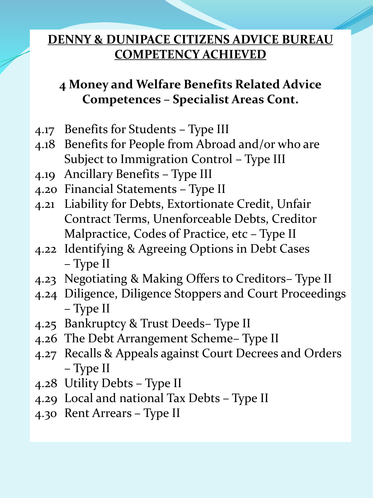# **4 Money and Welfare Benefits Related Advice Competences – Specialist Areas Cont.**

- 4.17 Benefits for Students Type III
- 4.18 Benefits for People from Abroad and/or who are Subject to Immigration Control – Type III
- 4.19 Ancillary Benefits Type III
- 4.20 Financial Statements Type II
- 4.21 Liability for Debts, Extortionate Credit, Unfair Contract Terms, Unenforceable Debts, Creditor Malpractice, Codes of Practice, etc – Type II
- 4.22 Identifying & Agreeing Options in Debt Cases – Type II
- 4.23 Negotiating & Making Offers to Creditors– Type II
- 4.24 Diligence, Diligence Stoppers and Court Proceedings – Type II
- 4.25 Bankruptcy & Trust Deeds– Type II
- 4.26 The Debt Arrangement Scheme– Type II
- 4.27 Recalls & Appeals against Court Decrees and Orders – Type II
- 4.28 Utility Debts Type II
- 4.29 Local and national Tax Debts Type II
- 4.30 Rent Arrears Type II